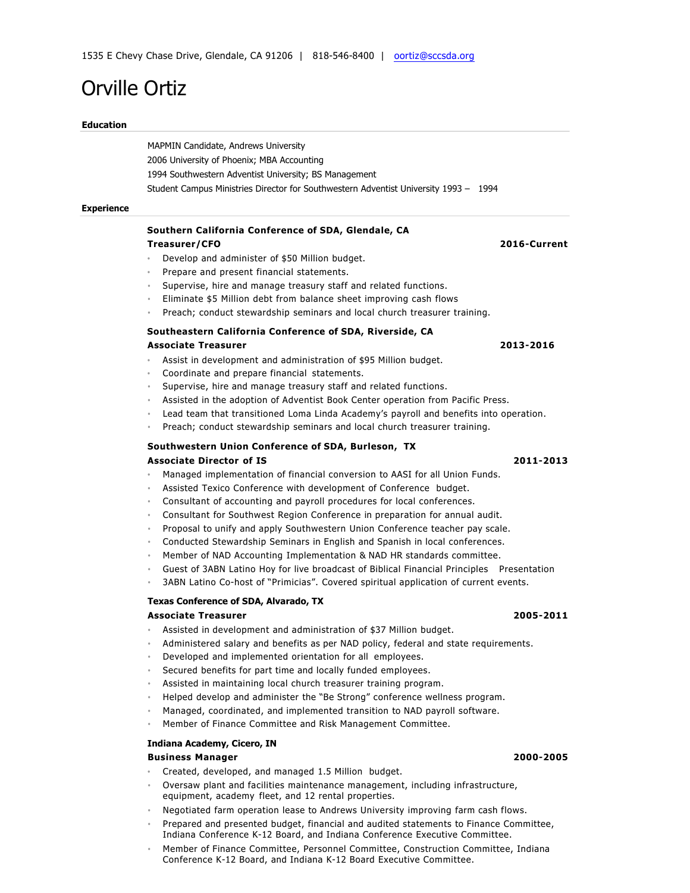# Orville Ortiz

### **Education**

MAPMIN Candidate, Andrews University 2006 University of Phoenix; MBA Accounting 1994 Southwestern Adventist University; BS Management Student Campus Ministries Director for Southwestern Adventist University 1993 – 1994

### **Experience**

# **Southern California Conference of SDA, Glendale, CA**

- Develop and administer of \$50 Million budget.
- Prepare and present financial statements.
- Supervise, hire and manage treasury staff and related functions.
- Eliminate \$5 Million debt from balance sheet improving cash flows
- Preach; conduct stewardship seminars and local church treasurer training.

## **Southeastern California Conference of SDA, Riverside, CA Associate Treasurer 2013-2016**

- Assist in development and administration of \$95 Million budget.
- Coordinate and prepare financial statements.
- Supervise, hire and manage treasury staff and related functions.
- Assisted in the adoption of Adventist Book Center operation from Pacific Press.
- Lead team that transitioned Loma Linda Academy's payroll and benefits into operation.
- Preach; conduct stewardship seminars and local church treasurer training.

# **Southwestern Union Conference of SDA, Burleson, TX Associate Director of IS 2011-2013**

- Managed implementation of financial conversion to AASI for all Union Funds.
- Assisted Texico Conference with development of Conference budget.
- Consultant of accounting and payroll procedures for local conferences.
- Consultant for Southwest Region Conference in preparation for annual audit.
- Proposal to unify and apply Southwestern Union Conference teacher pay scale.
- Conducted Stewardship Seminars in English and Spanish in local conferences.
- Member of NAD Accounting Implementation & NAD HR standards committee.
- Guest of 3ABN Latino Hoy for live broadcast of Biblical Financial Principles Presentation
- 3ABN Latino Co-host of "Primicias". Covered spiritual application of current events.

#### **Texas Conference of SDA, Alvarado, TX**

#### **Associate Treasurer 2005-2011**

- Assisted in development and administration of \$37 Million budget.
- Administered salary and benefits as per NAD policy, federal and state requirements.
- Developed and implemented orientation for all employees.
- Secured benefits for part time and locally funded employees.
- Assisted in maintaining local church treasurer training program.
- Helped develop and administer the "Be Strong" conference wellness program.
- Managed, coordinated, and implemented transition to NAD payroll software.
- Member of Finance Committee and Risk Management Committee.

### **Indiana Academy, Cicero, IN**

# **Business Manager 2000-2005**

- Created, developed, and managed 1.5 Million budget.
- Oversaw plant and facilities maintenance management, including infrastructure, equipment, academy fleet, and 12 rental properties.
- Negotiated farm operation lease to Andrews University improving farm cash flows.
- Prepared and presented budget, financial and audited statements to Finance Committee, Indiana Conference K-12 Board, and Indiana Conference Executive Committee.
- Member of Finance Committee, Personnel Committee, Construction Committee, Indiana Conference K-12 Board, and Indiana K-12 Board Executive Committee.

# **Treasurer/CFO 2016-Current**